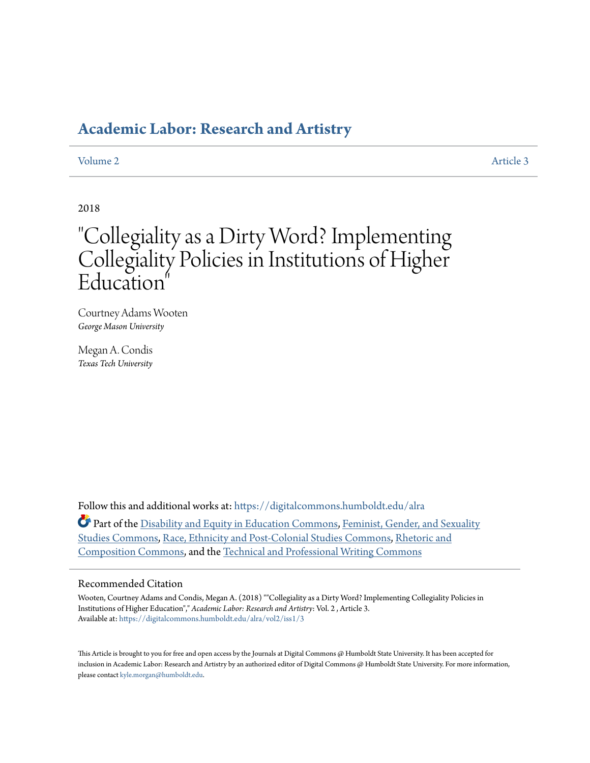### **[Academic Labor: Research and Artistry](https://digitalcommons.humboldt.edu/alra?utm_source=digitalcommons.humboldt.edu%2Falra%2Fvol2%2Fiss1%2F3&utm_medium=PDF&utm_campaign=PDFCoverPages)**

[Volume 2](https://digitalcommons.humboldt.edu/alra/vol2?utm_source=digitalcommons.humboldt.edu%2Falra%2Fvol2%2Fiss1%2F3&utm_medium=PDF&utm_campaign=PDFCoverPages) [Article 3](https://digitalcommons.humboldt.edu/alra/vol2/iss1/3?utm_source=digitalcommons.humboldt.edu%2Falra%2Fvol2%2Fiss1%2F3&utm_medium=PDF&utm_campaign=PDFCoverPages)

### 2018

# "Collegiality as a Dirty Word? Implementing Collegiality Policies in Institutions of Higher Education"

Courtney Adams Wooten *George Mason University*

Megan A. Condis *Texas Tech University*

Follow this and additional works at: [https://digitalcommons.humboldt.edu/alra](https://digitalcommons.humboldt.edu/alra?utm_source=digitalcommons.humboldt.edu%2Falra%2Fvol2%2Fiss1%2F3&utm_medium=PDF&utm_campaign=PDFCoverPages)

Part of the [Disability and Equity in Education Commons,](http://network.bepress.com/hgg/discipline/1040?utm_source=digitalcommons.humboldt.edu%2Falra%2Fvol2%2Fiss1%2F3&utm_medium=PDF&utm_campaign=PDFCoverPages) [Feminist, Gender, and Sexuality](http://network.bepress.com/hgg/discipline/559?utm_source=digitalcommons.humboldt.edu%2Falra%2Fvol2%2Fiss1%2F3&utm_medium=PDF&utm_campaign=PDFCoverPages) [Studies Commons](http://network.bepress.com/hgg/discipline/559?utm_source=digitalcommons.humboldt.edu%2Falra%2Fvol2%2Fiss1%2F3&utm_medium=PDF&utm_campaign=PDFCoverPages), [Race, Ethnicity and Post-Colonial Studies Commons,](http://network.bepress.com/hgg/discipline/566?utm_source=digitalcommons.humboldt.edu%2Falra%2Fvol2%2Fiss1%2F3&utm_medium=PDF&utm_campaign=PDFCoverPages) [Rhetoric and](http://network.bepress.com/hgg/discipline/573?utm_source=digitalcommons.humboldt.edu%2Falra%2Fvol2%2Fiss1%2F3&utm_medium=PDF&utm_campaign=PDFCoverPages) [Composition Commons](http://network.bepress.com/hgg/discipline/573?utm_source=digitalcommons.humboldt.edu%2Falra%2Fvol2%2Fiss1%2F3&utm_medium=PDF&utm_campaign=PDFCoverPages), and the [Technical and Professional Writing Commons](http://network.bepress.com/hgg/discipline/1347?utm_source=digitalcommons.humboldt.edu%2Falra%2Fvol2%2Fiss1%2F3&utm_medium=PDF&utm_campaign=PDFCoverPages)

#### Recommended Citation

Wooten, Courtney Adams and Condis, Megan A. (2018) ""Collegiality as a Dirty Word? Implementing Collegiality Policies in Institutions of Higher Education"," *Academic Labor: Research and Artistry*: Vol. 2 , Article 3. Available at: [https://digitalcommons.humboldt.edu/alra/vol2/iss1/3](https://digitalcommons.humboldt.edu/alra/vol2/iss1/3?utm_source=digitalcommons.humboldt.edu%2Falra%2Fvol2%2Fiss1%2F3&utm_medium=PDF&utm_campaign=PDFCoverPages)

This Article is brought to you for free and open access by the Journals at Digital Commons @ Humboldt State University. It has been accepted for inclusion in Academic Labor: Research and Artistry by an authorized editor of Digital Commons @ Humboldt State University. For more information, please contact [kyle.morgan@humboldt.edu.](mailto:kyle.morgan@humboldt.edu)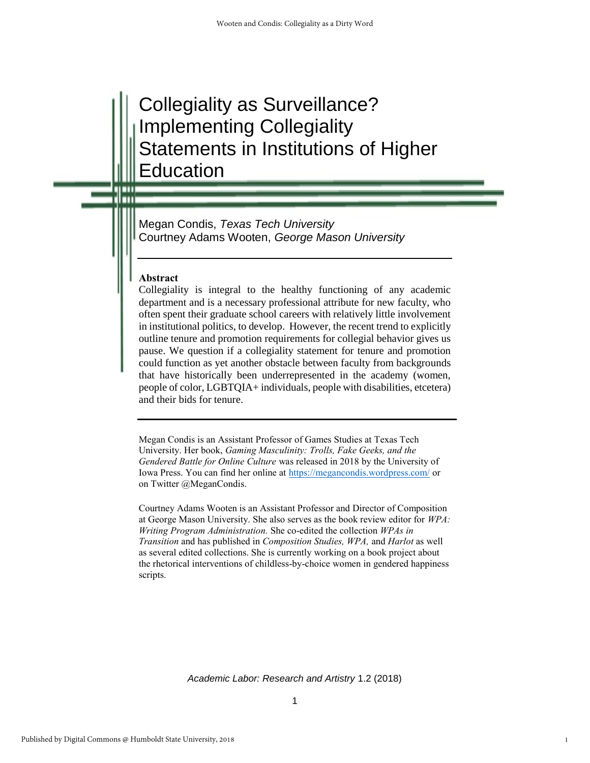## Collegiality as Surveillance? Implementing Collegiality Statements in Institutions of Higher Education

Megan Condis, *Texas Tech University* Courtney Adams Wooten, *George Mason University*

#### **Abstract**

ш

Collegiality is integral to the healthy functioning of any academic department and is a necessary professional attribute for new faculty, who often spent their graduate school careers with relatively little involvement in institutional politics, to develop. However, the recent trend to explicitly outline tenure and promotion requirements for collegial behavior gives us pause. We question if a collegiality statement for tenure and promotion could function as yet another obstacle between faculty from backgrounds that have historically been underrepresented in the academy (women, people of color, LGBTQIA+ individuals, people with disabilities, etcetera) and their bids for tenure.

Megan Condis is an Assistant Professor of Games Studies at Texas Tech University. Her book, *Gaming Masculinity: Trolls, Fake Geeks, and the Gendered Battle for Online Culture* was released in 2018 by the University of Iowa Press. You can find her online at<https://megancondis.wordpress.com/> or on Twitter @MeganCondis.

Courtney Adams Wooten is an Assistant Professor and Director of Composition at George Mason University. She also serves as the book review editor for *WPA: Writing Program Administration.* She co-edited the collection *WPAs in Transition* and has published in *Composition Studies, WPA,* and *Harlot* as well as several edited collections. She is currently working on a book project about the rhetorical interventions of childless-by-choice women in gendered happiness scripts.

*Academic Labor: Research and Artistry* 1.2 (2018)

1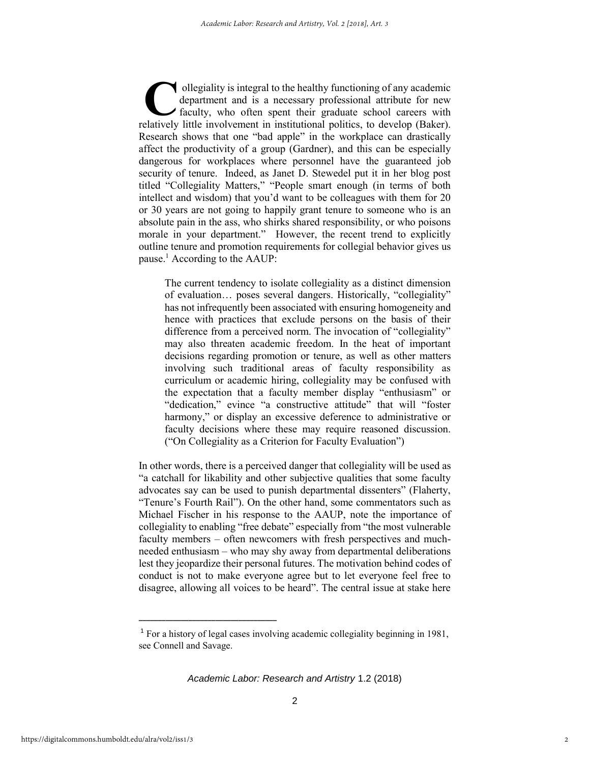dilegiality is integral to the healthy functioning of any academic department and is a necessary professional attribute for new faculty, who often spent their graduate school careers with ollegiality is integral to the healthy functioning of any academic department and is a necessary professional attribute for new faculty, who often spent their graduate school careers with relatively little involvement in i Research shows that one "bad apple" in the workplace can drastically affect the productivity of a group (Gardner), and this can be especially dangerous for workplaces where personnel have the guaranteed job security of tenure. Indeed, as Janet D. Stewedel put it in her blog post titled "Collegiality Matters," "People smart enough (in terms of both intellect and wisdom) that you'd want to be colleagues with them for 20 or 30 years are not going to happily grant tenure to someone who is an absolute pain in the ass, who shirks shared responsibility, or who poisons morale in your department." However, the recent trend to explicitly outline tenure and promotion requirements for collegial behavior gives us pause.<sup>1</sup> According to the AAUP:

The current tendency to isolate collegiality as a distinct dimension of evaluation… poses several dangers. Historically, "collegiality" has not infrequently been associated with ensuring homogeneity and hence with practices that exclude persons on the basis of their difference from a perceived norm. The invocation of "collegiality" may also threaten academic freedom. In the heat of important decisions regarding promotion or tenure, as well as other matters involving such traditional areas of faculty responsibility as curriculum or academic hiring, collegiality may be confused with the expectation that a faculty member display "enthusiasm" or "dedication," evince "a constructive attitude" that will "foster harmony," or display an excessive deference to administrative or faculty decisions where these may require reasoned discussion. ("On Collegiality as a Criterion for Faculty Evaluation")

In other words, there is a perceived danger that collegiality will be used as "a catchall for likability and other subjective qualities that some faculty advocates say can be used to punish departmental dissenters" (Flaherty, "Tenure's Fourth Rail"). On the other hand, some commentators such as Michael Fischer in his response to the AAUP, note the importance of collegiality to enabling "free debate" especially from "the most vulnerable faculty members – often newcomers with fresh perspectives and muchneeded enthusiasm – who may shy away from departmental deliberations lest they jeopardize their personal futures. The motivation behind codes of conduct is not to make everyone agree but to let everyone feel free to disagree, allowing all voices to be heard". The central issue at stake here

**\_\_\_\_\_\_\_\_\_\_\_\_\_\_\_\_\_\_\_\_\_\_\_\_\_\_\_\_\_\_\_\_\_\_\_\_** 

 $1$  For a history of legal cases involving academic collegiality beginning in 1981, see Connell and Savage.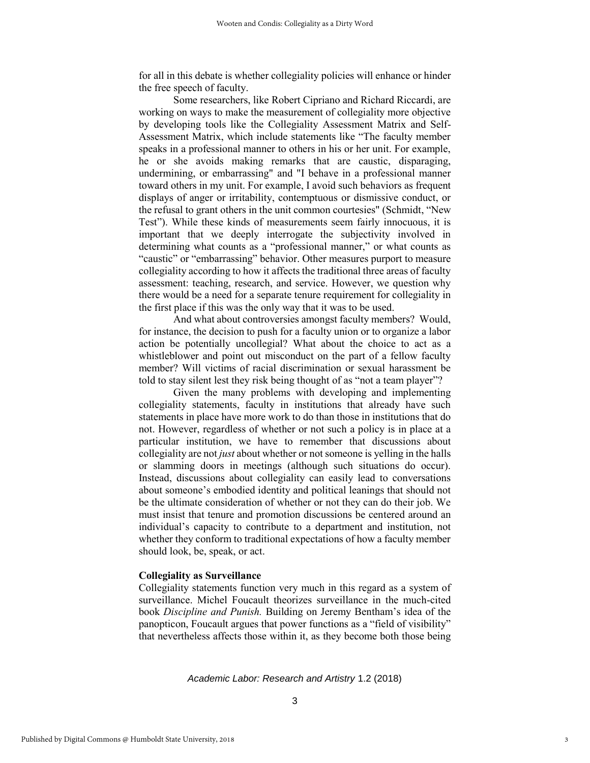for all in this debate is whether collegiality policies will enhance or hinder the free speech of faculty.

Some researchers, like Robert Cipriano and Richard Riccardi, are working on ways to make the measurement of collegiality more objective by developing tools like the Collegiality Assessment Matrix and Self-Assessment Matrix, which include statements like "The faculty member speaks in a professional manner to others in his or her unit. For example, he or she avoids making remarks that are caustic, disparaging, undermining, or embarrassing" and "I behave in a professional manner toward others in my unit. For example, I avoid such behaviors as frequent displays of anger or irritability, contemptuous or dismissive conduct, or the refusal to grant others in the unit common courtesies" (Schmidt, "New Test"). While these kinds of measurements seem fairly innocuous, it is important that we deeply interrogate the subjectivity involved in determining what counts as a "professional manner," or what counts as "caustic" or "embarrassing" behavior. Other measures purport to measure collegiality according to how it affects the traditional three areas of faculty assessment: teaching, research, and service. However, we question why there would be a need for a separate tenure requirement for collegiality in the first place if this was the only way that it was to be used.

And what about controversies amongst faculty members? Would, for instance, the decision to push for a faculty union or to organize a labor action be potentially uncollegial? What about the choice to act as a whistleblower and point out misconduct on the part of a fellow faculty member? Will victims of racial discrimination or sexual harassment be told to stay silent lest they risk being thought of as "not a team player"?

Given the many problems with developing and implementing collegiality statements, faculty in institutions that already have such statements in place have more work to do than those in institutions that do not. However, regardless of whether or not such a policy is in place at a particular institution, we have to remember that discussions about collegiality are not *just* about whether or not someone is yelling in the halls or slamming doors in meetings (although such situations do occur). Instead, discussions about collegiality can easily lead to conversations about someone's embodied identity and political leanings that should not be the ultimate consideration of whether or not they can do their job. We must insist that tenure and promotion discussions be centered around an individual's capacity to contribute to a department and institution, not whether they conform to traditional expectations of how a faculty member should look, be, speak, or act.

#### **Collegiality as Surveillance**

Collegiality statements function very much in this regard as a system of surveillance. Michel Foucault theorizes surveillance in the much-cited book *Discipline and Punish.* Building on Jeremy Bentham's idea of the panopticon, Foucault argues that power functions as a "field of visibility" that nevertheless affects those within it, as they become both those being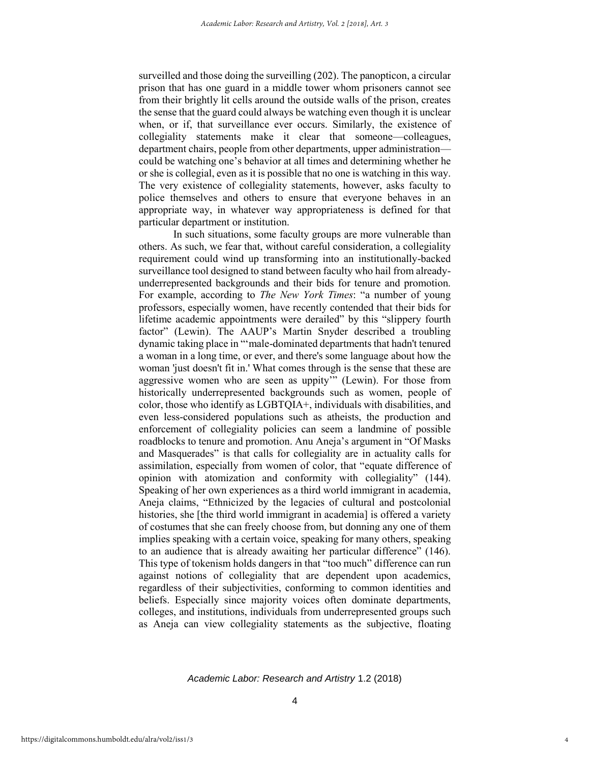surveilled and those doing the surveilling (202). The panopticon, a circular prison that has one guard in a middle tower whom prisoners cannot see from their brightly lit cells around the outside walls of the prison, creates the sense that the guard could always be watching even though it is unclear when, or if, that surveillance ever occurs. Similarly, the existence of collegiality statements make it clear that someone—colleagues, department chairs, people from other departments, upper administration could be watching one's behavior at all times and determining whether he or she is collegial, even as it is possible that no one is watching in this way. The very existence of collegiality statements, however, asks faculty to police themselves and others to ensure that everyone behaves in an appropriate way, in whatever way appropriateness is defined for that particular department or institution.

In such situations, some faculty groups are more vulnerable than others. As such, we fear that, without careful consideration, a collegiality requirement could wind up transforming into an institutionally-backed surveillance tool designed to stand between faculty who hail from alreadyunderrepresented backgrounds and their bids for tenure and promotion. For example, according to *The New York Times*: "a number of young professors, especially women, have recently contended that their bids for lifetime academic appointments were derailed" by this "slippery fourth factor" (Lewin). The AAUP's Martin Snyder described a troubling dynamic taking place in "'male-dominated departments that hadn't tenured a woman in a long time, or ever, and there's some language about how the woman 'just doesn't fit in.' What comes through is the sense that these are aggressive women who are seen as uppity'" (Lewin). For those from historically underrepresented backgrounds such as women, people of color, those who identify as LGBTQIA+, individuals with disabilities, and even less-considered populations such as atheists, the production and enforcement of collegiality policies can seem a landmine of possible roadblocks to tenure and promotion. Anu Aneja's argument in "Of Masks and Masquerades" is that calls for collegiality are in actuality calls for assimilation, especially from women of color, that "equate difference of opinion with atomization and conformity with collegiality" (144). Speaking of her own experiences as a third world immigrant in academia, Aneja claims, "Ethnicized by the legacies of cultural and postcolonial histories, she [the third world immigrant in academia] is offered a variety of costumes that she can freely choose from, but donning any one of them implies speaking with a certain voice, speaking for many others, speaking to an audience that is already awaiting her particular difference" (146). This type of tokenism holds dangers in that "too much" difference can run against notions of collegiality that are dependent upon academics, regardless of their subjectivities, conforming to common identities and beliefs. Especially since majority voices often dominate departments, colleges, and institutions, individuals from underrepresented groups such as Aneja can view collegiality statements as the subjective, floating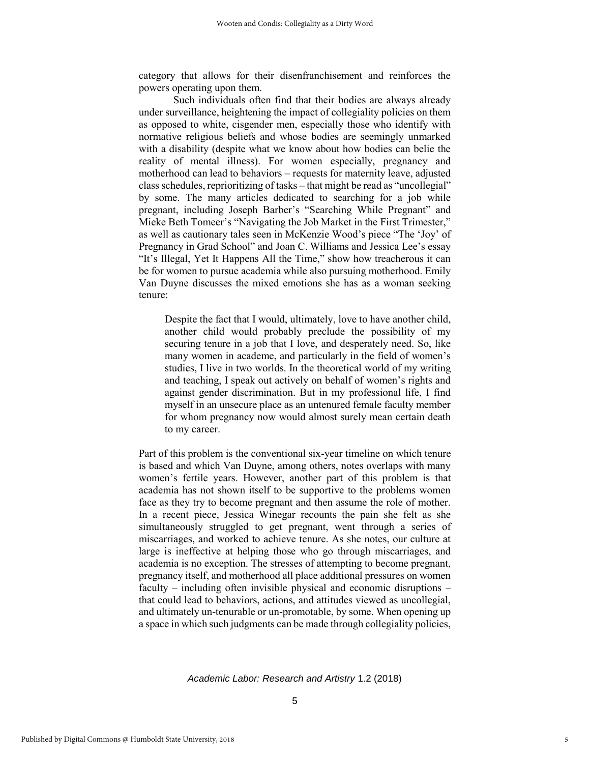category that allows for their disenfranchisement and reinforces the powers operating upon them.

Such individuals often find that their bodies are always already under surveillance, heightening the impact of collegiality policies on them as opposed to white, cisgender men, especially those who identify with normative religious beliefs and whose bodies are seemingly unmarked with a disability (despite what we know about how bodies can belie the reality of mental illness). For women especially, pregnancy and motherhood can lead to behaviors – requests for maternity leave, adjusted class schedules, reprioritizing of tasks – that might be read as "uncollegial" by some. The many articles dedicated to searching for a job while pregnant, including Joseph Barber's "Searching While Pregnant" and Mieke Beth Tomeer's "Navigating the Job Market in the First Trimester," as well as cautionary tales seen in McKenzie Wood's piece "The 'Joy' of Pregnancy in Grad School" and Joan C. Williams and Jessica Lee's essay "It's Illegal, Yet It Happens All the Time," show how treacherous it can be for women to pursue academia while also pursuing motherhood. Emily Van Duyne discusses the mixed emotions she has as a woman seeking tenure:

Despite the fact that I would, ultimately, love to have another child, another child would probably preclude the possibility of my securing tenure in a job that I love, and desperately need. So, like many women in academe, and particularly in the field of women's studies, I live in two worlds. In the theoretical world of my writing and teaching, I speak out actively on behalf of women's rights and against gender discrimination. But in my professional life, I find myself in an unsecure place as an untenured female faculty member for whom pregnancy now would almost surely mean certain death to my career.

Part of this problem is the conventional six-year timeline on which tenure is based and which Van Duyne, among others, notes overlaps with many women's fertile years. However, another part of this problem is that academia has not shown itself to be supportive to the problems women face as they try to become pregnant and then assume the role of mother. In a recent piece, Jessica Winegar recounts the pain she felt as she simultaneously struggled to get pregnant, went through a series of miscarriages, and worked to achieve tenure. As she notes, our culture at large is ineffective at helping those who go through miscarriages, and academia is no exception. The stresses of attempting to become pregnant, pregnancy itself, and motherhood all place additional pressures on women faculty – including often invisible physical and economic disruptions – that could lead to behaviors, actions, and attitudes viewed as uncollegial, and ultimately un-tenurable or un-promotable, by some. When opening up a space in which such judgments can be made through collegiality policies,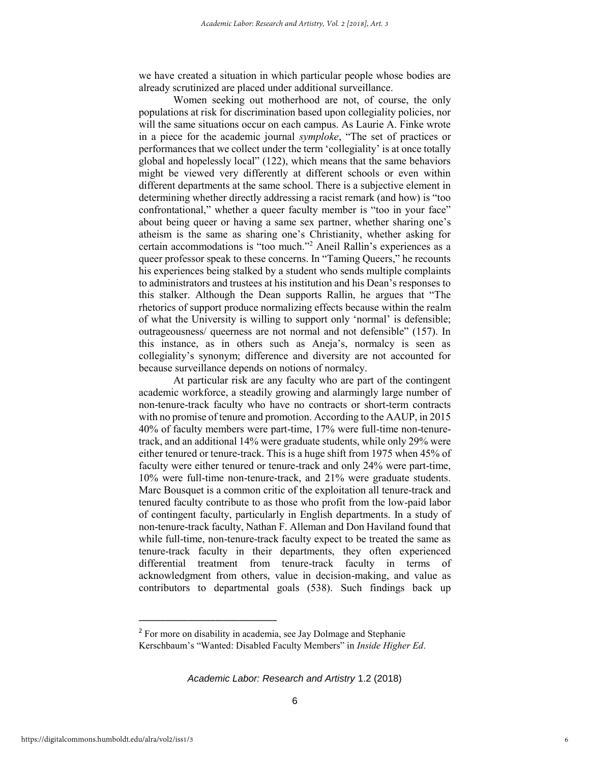we have created a situation in which particular people whose bodies are already scrutinized are placed under additional surveillance.

Women seeking out motherhood are not, of course, the only populations at risk for discrimination based upon collegiality policies, nor will the same situations occur on each campus. As Laurie A. Finke wrote in a piece for the academic journal *symploke*, "The set of practices or performances that we collect under the term 'collegiality' is at once totally global and hopelessly local" (122), which means that the same behaviors might be viewed very differently at different schools or even within different departments at the same school. There is a subjective element in determining whether directly addressing a racist remark (and how) is "too confrontational," whether a queer faculty member is "too in your face" about being queer or having a same sex partner, whether sharing one's atheism is the same as sharing one's Christianity, whether asking for certain accommodations is "too much."<sup>2</sup> Aneil Rallin's experiences as a queer professor speak to these concerns. In "Taming Queers," he recounts his experiences being stalked by a student who sends multiple complaints to administrators and trustees at his institution and his Dean's responses to this stalker. Although the Dean supports Rallin, he argues that "The rhetorics of support produce normalizing effects because within the realm of what the University is willing to support only 'normal' is defensible; outrageousness/ queerness are not normal and not defensible" (157). In this instance, as in others such as Aneja's, normalcy is seen as collegiality's synonym; difference and diversity are not accounted for because surveillance depends on notions of normalcy.

At particular risk are any faculty who are part of the contingent academic workforce, a steadily growing and alarmingly large number of non-tenure-track faculty who have no contracts or short-term contracts with no promise of tenure and promotion. According to the AAUP, in 2015 40% of faculty members were part-time, 17% were full-time non-tenuretrack, and an additional 14% were graduate students, while only 29% were either tenured or tenure-track. This is a huge shift from 1975 when 45% of faculty were either tenured or tenure-track and only 24% were part-time, 10% were full-time non-tenure-track, and 21% were graduate students. Marc Bousquet is a common critic of the exploitation all tenure-track and tenured faculty contribute to as those who profit from the low-paid labor of contingent faculty, particularly in English departments. In a study of non-tenure-track faculty, Nathan F. Alleman and Don Haviland found that while full-time, non-tenure-track faculty expect to be treated the same as tenure-track faculty in their departments, they often experienced differential treatment from tenure-track faculty in terms of acknowledgment from others, value in decision-making, and value as contributors to departmental goals (538). Such findings back up

**\_\_\_\_\_\_\_\_\_\_\_\_\_\_\_\_\_\_\_\_\_\_\_\_\_\_\_\_\_\_\_\_\_\_\_\_** 

<sup>&</sup>lt;sup>2</sup> For more on disability in academia, see Jay Dolmage and Stephanie Kerschbaum's "Wanted: Disabled Faculty Members" in *Inside Higher Ed*.

*Academic Labor: Research and Artistry* 1.2 (2018)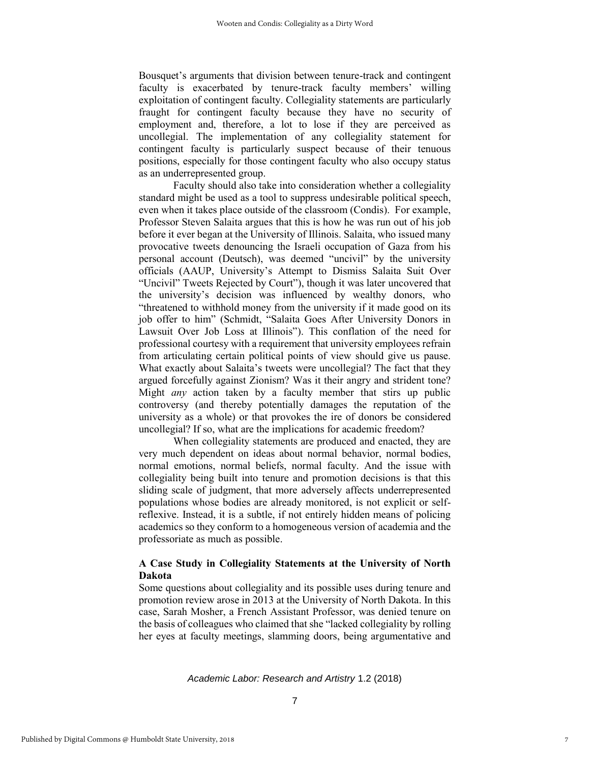Bousquet's arguments that division between tenure-track and contingent faculty is exacerbated by tenure-track faculty members' willing exploitation of contingent faculty. Collegiality statements are particularly fraught for contingent faculty because they have no security of employment and, therefore, a lot to lose if they are perceived as uncollegial. The implementation of any collegiality statement for contingent faculty is particularly suspect because of their tenuous positions, especially for those contingent faculty who also occupy status as an underrepresented group.

Faculty should also take into consideration whether a collegiality standard might be used as a tool to suppress undesirable political speech, even when it takes place outside of the classroom (Condis). For example, Professor Steven Salaita argues that this is how he was run out of his job before it ever began at the University of Illinois. Salaita, who issued many provocative tweets denouncing the Israeli occupation of Gaza from his personal account (Deutsch), was deemed "uncivil" by the university officials (AAUP, University's Attempt to Dismiss Salaita Suit Over "Uncivil" Tweets Rejected by Court"), though it was later uncovered that the university's decision was influenced by wealthy donors, who "threatened to withhold money from the university if it made good on its job offer to him" (Schmidt, "Salaita Goes After University Donors in Lawsuit Over Job Loss at Illinois"). This conflation of the need for professional courtesy with a requirement that university employees refrain from articulating certain political points of view should give us pause. What exactly about Salaita's tweets were uncollegial? The fact that they argued forcefully against Zionism? Was it their angry and strident tone? Might *any* action taken by a faculty member that stirs up public controversy (and thereby potentially damages the reputation of the university as a whole) or that provokes the ire of donors be considered uncollegial? If so, what are the implications for academic freedom?

When collegiality statements are produced and enacted, they are very much dependent on ideas about normal behavior, normal bodies, normal emotions, normal beliefs, normal faculty. And the issue with collegiality being built into tenure and promotion decisions is that this sliding scale of judgment, that more adversely affects underrepresented populations whose bodies are already monitored, is not explicit or selfreflexive. Instead, it is a subtle, if not entirely hidden means of policing academics so they conform to a homogeneous version of academia and the professoriate as much as possible.

#### **A Case Study in Collegiality Statements at the University of North Dakota**

Some questions about collegiality and its possible uses during tenure and promotion review arose in 2013 at the University of North Dakota. In this case, Sarah Mosher, a French Assistant Professor, was denied tenure on the basis of colleagues who claimed that she "lacked collegiality by rolling her eyes at faculty meetings, slamming doors, being argumentative and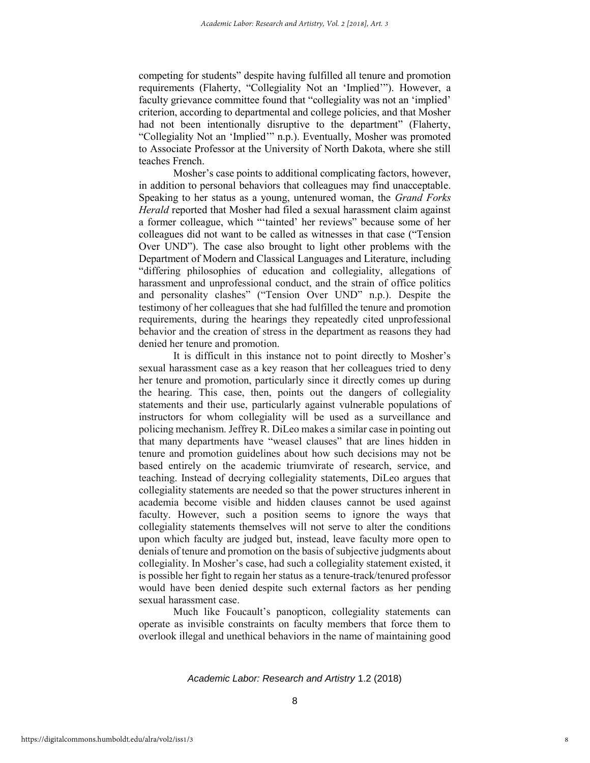competing for students" despite having fulfilled all tenure and promotion requirements (Flaherty, "Collegiality Not an 'Implied'"). However, a faculty grievance committee found that "collegiality was not an 'implied' criterion, according to departmental and college policies, and that Mosher had not been intentionally disruptive to the department" (Flaherty, "Collegiality Not an 'Implied'" n.p.). Eventually, Mosher was promoted to Associate Professor at the University of North Dakota, where she still teaches French.

Mosher's case points to additional complicating factors, however, in addition to personal behaviors that colleagues may find unacceptable. Speaking to her status as a young, untenured woman, the *Grand Forks Herald* reported that Mosher had filed a sexual harassment claim against a former colleague, which "'tainted' her reviews" because some of her colleagues did not want to be called as witnesses in that case ("Tension Over UND"). The case also brought to light other problems with the Department of Modern and Classical Languages and Literature, including "differing philosophies of education and collegiality, allegations of harassment and unprofessional conduct, and the strain of office politics and personality clashes" ("Tension Over UND" n.p.). Despite the testimony of her colleagues that she had fulfilled the tenure and promotion requirements, during the hearings they repeatedly cited unprofessional behavior and the creation of stress in the department as reasons they had denied her tenure and promotion.

It is difficult in this instance not to point directly to Mosher's sexual harassment case as a key reason that her colleagues tried to deny her tenure and promotion, particularly since it directly comes up during the hearing. This case, then, points out the dangers of collegiality statements and their use, particularly against vulnerable populations of instructors for whom collegiality will be used as a surveillance and policing mechanism. Jeffrey R. DiLeo makes a similar case in pointing out that many departments have "weasel clauses" that are lines hidden in tenure and promotion guidelines about how such decisions may not be based entirely on the academic triumvirate of research, service, and teaching. Instead of decrying collegiality statements, DiLeo argues that collegiality statements are needed so that the power structures inherent in academia become visible and hidden clauses cannot be used against faculty. However, such a position seems to ignore the ways that collegiality statements themselves will not serve to alter the conditions upon which faculty are judged but, instead, leave faculty more open to denials of tenure and promotion on the basis of subjective judgments about collegiality. In Mosher's case, had such a collegiality statement existed, it is possible her fight to regain her status as a tenure-track/tenured professor would have been denied despite such external factors as her pending sexual harassment case.

Much like Foucault's panopticon, collegiality statements can operate as invisible constraints on faculty members that force them to overlook illegal and unethical behaviors in the name of maintaining good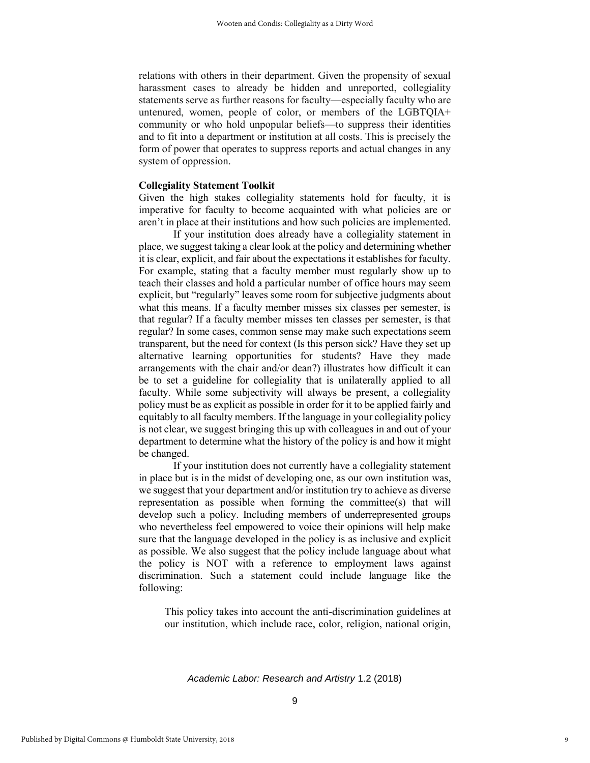relations with others in their department. Given the propensity of sexual harassment cases to already be hidden and unreported, collegiality statements serve as further reasons for faculty—especially faculty who are untenured, women, people of color, or members of the LGBTQIA+ community or who hold unpopular beliefs—to suppress their identities and to fit into a department or institution at all costs. This is precisely the form of power that operates to suppress reports and actual changes in any system of oppression.

#### **Collegiality Statement Toolkit**

Given the high stakes collegiality statements hold for faculty, it is imperative for faculty to become acquainted with what policies are or aren't in place at their institutions and how such policies are implemented.

If your institution does already have a collegiality statement in place, we suggest taking a clear look at the policy and determining whether it is clear, explicit, and fair about the expectations it establishes for faculty. For example, stating that a faculty member must regularly show up to teach their classes and hold a particular number of office hours may seem explicit, but "regularly" leaves some room for subjective judgments about what this means. If a faculty member misses six classes per semester, is that regular? If a faculty member misses ten classes per semester, is that regular? In some cases, common sense may make such expectations seem transparent, but the need for context (Is this person sick? Have they set up alternative learning opportunities for students? Have they made arrangements with the chair and/or dean?) illustrates how difficult it can be to set a guideline for collegiality that is unilaterally applied to all faculty. While some subjectivity will always be present, a collegiality policy must be as explicit as possible in order for it to be applied fairly and equitably to all faculty members. If the language in your collegiality policy is not clear, we suggest bringing this up with colleagues in and out of your department to determine what the history of the policy is and how it might be changed.

If your institution does not currently have a collegiality statement in place but is in the midst of developing one, as our own institution was, we suggest that your department and/or institution try to achieve as diverse representation as possible when forming the committee(s) that will develop such a policy. Including members of underrepresented groups who nevertheless feel empowered to voice their opinions will help make sure that the language developed in the policy is as inclusive and explicit as possible. We also suggest that the policy include language about what the policy is NOT with a reference to employment laws against discrimination. Such a statement could include language like the following:

This policy takes into account the anti-discrimination guidelines at our institution, which include race, color, religion, national origin,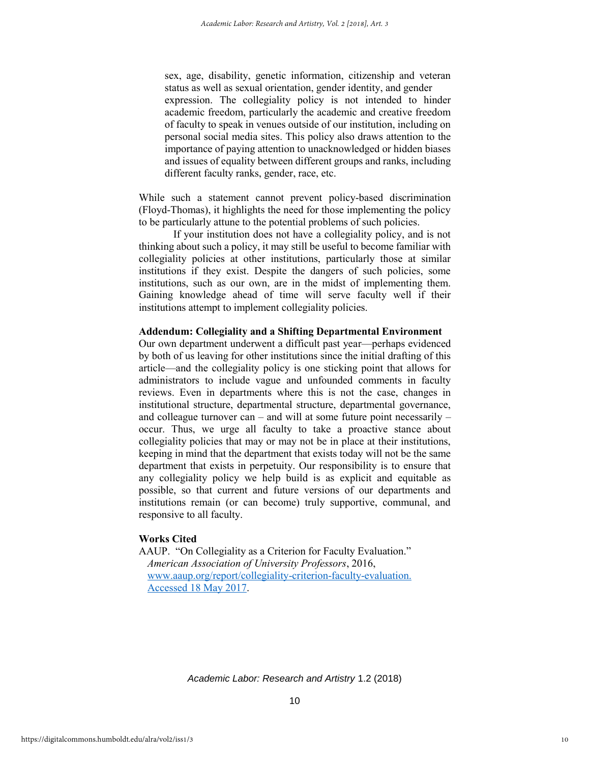sex, age, disability, genetic information, citizenship and veteran status as well as sexual orientation, gender identity, and gender expression. The collegiality policy is not intended to hinder academic freedom, particularly the academic and creative freedom of faculty to speak in venues outside of our institution, including on personal social media sites. This policy also draws attention to the importance of paying attention to unacknowledged or hidden biases and issues of equality between different groups and ranks, including different faculty ranks, gender, race, etc.

While such a statement cannot prevent policy-based discrimination (Floyd-Thomas), it highlights the need for those implementing the policy to be particularly attune to the potential problems of such policies.

If your institution does not have a collegiality policy, and is not thinking about such a policy, it may still be useful to become familiar with collegiality policies at other institutions, particularly those at similar institutions if they exist. Despite the dangers of such policies, some institutions, such as our own, are in the midst of implementing them. Gaining knowledge ahead of time will serve faculty well if their institutions attempt to implement collegiality policies.

#### **Addendum: Collegiality and a Shifting Departmental Environment**

Our own department underwent a difficult past year—perhaps evidenced by both of us leaving for other institutions since the initial drafting of this article—and the collegiality policy is one sticking point that allows for administrators to include vague and unfounded comments in faculty reviews. Even in departments where this is not the case, changes in institutional structure, departmental structure, departmental governance, and colleague turnover can – and will at some future point necessarily – occur. Thus, we urge all faculty to take a proactive stance about collegiality policies that may or may not be in place at their institutions, keeping in mind that the department that exists today will not be the same department that exists in perpetuity. Our responsibility is to ensure that any collegiality policy we help build is as explicit and equitable as possible, so that current and future versions of our departments and institutions remain (or can become) truly supportive, communal, and responsive to all faculty.

#### **Works Cited**

AAUP. "On Collegiality as a Criterion for Faculty Evaluation." *American Association of University Professors*, 2016, [www.aaup.org/report/collegiality-criterion-faculty-evaluation.](http://www.aaup.org/report/collegiality-criterion-faculty-evaluation.%20Accessed%2018%20May%202017)  [Accessed 18 May 2017.](http://www.aaup.org/report/collegiality-criterion-faculty-evaluation.%20Accessed%2018%20May%202017)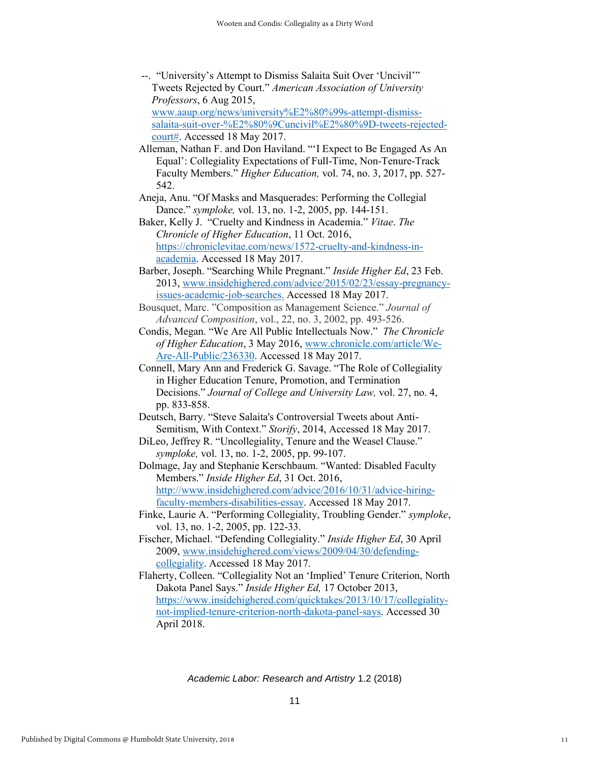--. "University's Attempt to Dismiss Salaita Suit Over 'Uncivil'" Tweets Rejected by Court." *American Association of University Professors*, 6 Aug 2015, [www.aaup.org/news/university%E2%80%99s-attempt-dismiss](http://www.aaup.org/news/university%E2%80%99s-attempt-dismiss-salaita-suit-over-%E2%80%9Cuncivil%E2%80%9D-tweets-rejected-court)[salaita-suit-over-%E2%80%9Cuncivil%E2%80%9D-tweets-rejected](http://www.aaup.org/news/university%E2%80%99s-attempt-dismiss-salaita-suit-over-%E2%80%9Cuncivil%E2%80%9D-tweets-rejected-court)[court#.](http://www.aaup.org/news/university%E2%80%99s-attempt-dismiss-salaita-suit-over-%E2%80%9Cuncivil%E2%80%9D-tweets-rejected-court) Accessed 18 May 2017.

Alleman, Nathan F. and Don Haviland. "'I Expect to Be Engaged As An Equal': Collegiality Expectations of Full-Time, Non-Tenure-Track Faculty Members." *Higher Education,* vol. 74, no. 3, 2017, pp. 527- 542.

Aneja, Anu. "Of Masks and Masquerades: Performing the Collegial Dance." *symploke,* vol. 13, no. 1-2, 2005, pp. 144-151.

Baker, Kelly J. "Cruelty and Kindness in Academia." *Vitae*. *The Chronicle of Higher Education*, 11 Oct. 2016, [https://chroniclevitae.com/news/1572-cruelty-and-kindness-in](https://chroniclevitae.com/news/1572-cruelty-and-kindness-in-academia)[academia.](https://chroniclevitae.com/news/1572-cruelty-and-kindness-in-academia) Accessed 18 May 2017.

Barber, Joseph. "Searching While Pregnant." *Inside Higher Ed*, 23 Feb. 2013, [www.insidehighered.com/advice/2015/02/23/essay-pregnancy](http://www.insidehighered.com/advice/2015/02/23/essay-pregnancy-issues-academic-job-searches)[issues-academic-job-searches.](http://www.insidehighered.com/advice/2015/02/23/essay-pregnancy-issues-academic-job-searches) Accessed 18 May 2017.

Bousquet, Marc. "Composition as Management Science." *Journal of Advanced Composition*, vol., 22, no. 3, 2002, pp. 493-526.

Condis, Megan. "We Are All Public Intellectuals Now." *The Chronicle of Higher Education*, 3 May 2016, [www.chronicle.com/article/We-](http://www.chronicle.com/article/We-Are-All-Public/236330)[Are-All-Public/236330.](http://www.chronicle.com/article/We-Are-All-Public/236330) Accessed 18 May 2017.

Connell, Mary Ann and Frederick G. Savage. "The Role of Collegiality in Higher Education Tenure, Promotion, and Termination Decisions." *Journal of College and University Law,* vol. 27, no. 4, pp. 833-858.

Deutsch, Barry. "Steve Salaita's Controversial Tweets about Anti-Semitism, With Context." *Storify*, 2014, Accessed 18 May 2017.

DiLeo, Jeffrey R. "Uncollegiality, Tenure and the Weasel Clause." *symploke,* vol. 13, no. 1-2, 2005, pp. 99-107.

Dolmage, Jay and Stephanie Kerschbaum. "Wanted: Disabled Faculty Members." *Inside Higher Ed*, 31 Oct. 2016, [http://www.insidehighered.com/advice/2016/10/31/advice-hiring](http://www.insidehighered.com/advice/2016/10/31/advice-hiring-faculty-members-disabilities-essay)[faculty-members-disabilities-essay.](http://www.insidehighered.com/advice/2016/10/31/advice-hiring-faculty-members-disabilities-essay) Accessed 18 May 2017.

Finke, Laurie A. "Performing Collegiality, Troubling Gender." *symploke*, vol. 13, no. 1-2, 2005, pp. 122-33.

Fischer, Michael. "Defending Collegiality." *Inside Higher Ed*, 30 April 2009, [www.insidehighered.com/views/2009/04/30/defending](http://www.insidehighered.com/views/2009/04/30/defending-collegiality)[collegiality.](http://www.insidehighered.com/views/2009/04/30/defending-collegiality) Accessed 18 May 2017.

Flaherty, Colleen. "Collegiality Not an 'Implied' Tenure Criterion, North Dakota Panel Says." *Inside Higher Ed,* 17 October 2013, [https://www.insidehighered.com/quicktakes/2013/10/17/collegiality](https://www.insidehighered.com/quicktakes/2013/10/17/collegiality-not-implied-tenure-criterion-north-dakota-panel-says)[not-implied-tenure-criterion-north-dakota-panel-says.](https://www.insidehighered.com/quicktakes/2013/10/17/collegiality-not-implied-tenure-criterion-north-dakota-panel-says) Accessed 30 April 2018.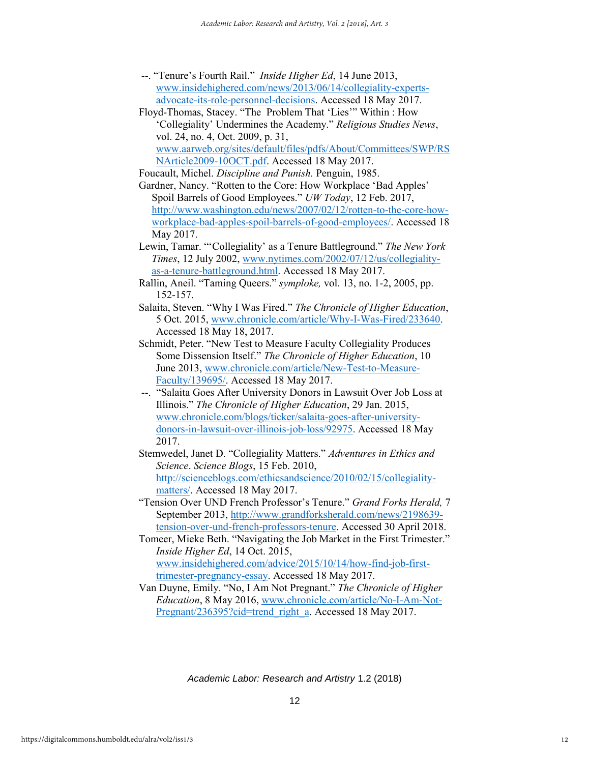- --. "Tenure's Fourth Rail." *Inside Higher Ed*, 14 June 2013, [www.insidehighered.com/news/2013/06/14/collegiality-experts](http://www.insidehighered.com/news/2013/06/14/collegiality-experts-advocate-its-role-personnel-decisions)[advocate-its-role-personnel-decisions.](http://www.insidehighered.com/news/2013/06/14/collegiality-experts-advocate-its-role-personnel-decisions) Accessed 18 May 2017.
- Floyd-Thomas, Stacey. "The Problem That 'Lies'" Within : How 'Collegiality' Undermines the Academy." *Religious Studies News*, vol. 24, no. 4, Oct. 2009, p. 31, [www.aarweb.org/sites/default/files/pdfs/About/Committees/SWP/RS](http://www.aarweb.org/sites/default/files/pdfs/About/Committees/SWP/RSNArticle2009-10OCT.pdf) [NArticle2009-10OCT.pdf.](http://www.aarweb.org/sites/default/files/pdfs/About/Committees/SWP/RSNArticle2009-10OCT.pdf) Accessed 18 May 2017.
- Foucault, Michel. *Discipline and Punish.* Penguin, 1985.
- Gardner, Nancy. "Rotten to the Core: How Workplace 'Bad Apples' Spoil Barrels of Good Employees." *UW Today*, 12 Feb. 2017, [http://www.washington.edu/news/2007/02/12/rotten-to-the-core-how](http://www.washington.edu/news/2007/02/12/rotten-to-the-core-how-workplace-bad-apples-spoil-barrels-of-good-employees/)[workplace-bad-apples-spoil-barrels-of-good-employees/.](http://www.washington.edu/news/2007/02/12/rotten-to-the-core-how-workplace-bad-apples-spoil-barrels-of-good-employees/) Accessed 18 May 2017.
- Lewin, Tamar. "'Collegiality' as a Tenure Battleground." *The New York Times*, 12 July 2002, [www.nytimes.com/2002/07/12/us/collegiality](http://www.nytimes.com/2002/07/12/us/collegiality-as-a-tenure-battleground.html)[as-a-tenure-battleground.html.](http://www.nytimes.com/2002/07/12/us/collegiality-as-a-tenure-battleground.html) Accessed 18 May 2017.
- Rallin, Aneil. "Taming Queers." *symploke,* vol. 13, no. 1-2, 2005, pp. 152-157.
- Salaita, Steven. "Why I Was Fired." *The Chronicle of Higher Education*, 5 Oct. 2015, [www.chronicle.com/article/Why-I-Was-Fired/233640.](http://www.chronicle.com/article/Why-I-Was-Fired/233640) Accessed 18 May 18, 2017.
- Schmidt, Peter. "New Test to Measure Faculty Collegiality Produces Some Dissension Itself." *The Chronicle of Higher Education*, 10 June 2013, [www.chronicle.com/article/New-Test-to-Measure-](http://www.chronicle.com/article/New-Test-to-Measure-Faculty/139695/)[Faculty/139695/.](http://www.chronicle.com/article/New-Test-to-Measure-Faculty/139695/) Accessed 18 May 2017.
- --. "Salaita Goes After University Donors in Lawsuit Over Job Loss at Illinois." *The Chronicle of Higher Education*, 29 Jan. 2015, [www.chronicle.com/blogs/ticker/salaita-goes-after-university](http://www.chronicle.com/blogs/ticker/salaita-goes-after-university-donors-in-lawsuit-over-illinois-job-loss/92975)[donors-in-lawsuit-over-illinois-job-loss/92975.](http://www.chronicle.com/blogs/ticker/salaita-goes-after-university-donors-in-lawsuit-over-illinois-job-loss/92975) Accessed 18 May 2017.
- Stemwedel, Janet D. "Collegiality Matters." *Adventures in Ethics and Science*. *Science Blogs*, 15 Feb. 2010, [http://scienceblogs.com/ethicsandscience/2010/02/15/collegiality](http://scienceblogs.com/ethicsandscience/2010/02/15/collegiality-matters/)[matters/.](http://scienceblogs.com/ethicsandscience/2010/02/15/collegiality-matters/) Accessed 18 May 2017.
- "Tension Over UND French Professor's Tenure." *Grand Forks Herald,* 7 September 2013, [http://www.grandforksherald.com/news/2198639](http://www.grandforksherald.com/news/2198639-tension-over-und-french-professors-tenure) [tension-over-und-french-professors-tenure.](http://www.grandforksherald.com/news/2198639-tension-over-und-french-professors-tenure) Accessed 30 April 2018.
- Tomeer, Mieke Beth. "Navigating the Job Market in the First Trimester." *Inside Higher Ed*, 14 Oct. 2015, [www.insidehighered.com/advice/2015/10/14/how-find-job-first](http://www.insidehighered.com/advice/2015/10/14/how-find-job-first-trimester-pregnancy-essay)[trimester-pregnancy-essay.](http://www.insidehighered.com/advice/2015/10/14/how-find-job-first-trimester-pregnancy-essay) Accessed 18 May 2017.
- Van Duyne, Emily. "No, I Am Not Pregnant." *The Chronicle of Higher Education*, 8 May 2016, [www.chronicle.com/article/No-I-Am-Not-](http://www.chronicle.com/article/No-I-Am-Not-Pregnant/236395?cid=trend_right_a)[Pregnant/236395?cid=trend\\_right\\_a.](http://www.chronicle.com/article/No-I-Am-Not-Pregnant/236395?cid=trend_right_a) Accessed 18 May 2017.